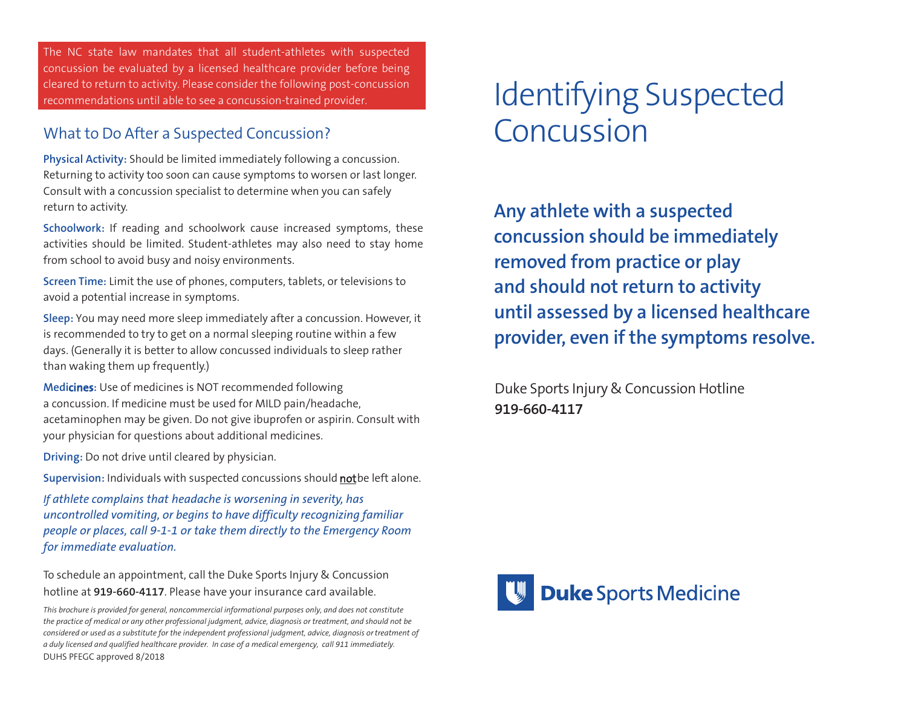The NC state law mandates that all student-athletes with suspected concussion be evaluated by a licensed healthcare provider before being cleared to return to activity. Please consider the following post-concussion recommendations until able to see a concussion-trained provider.

### What to Do After a Suspected Concussion?

**Physical Activity:** Should be limited immediately following a concussion. Returning to activity too soon can cause symptoms to worsen or last longer. Consult with a concussion specialist to determine when you can safely return to activity.

**Schoolwork:** If reading and schoolwork cause increased symptoms, these activities should be limited. Student-athletes may also need to stay home from school to avoid busy and noisy environments.

**Screen Time:** Limit the use of phones, computers, tablets, or televisions to avoid a potential increase in symptoms.

**Sleep:** You may need more sleep immediately after a concussion. However, it is recommended to try to get on a normal sleeping routine within a few days. (Generally it is better to allow concussed individuals to sleep rather than waking them up frequently.)

**Medicines:** Use of medicines is NOT recommended following a concussion. If medicine must be used for MILD pain/headache, acetaminophen may be given. Do not give ibuprofen or aspirin. Consult with your physician for questions about additional medicines.

**Driving:** Do not drive until cleared by physician.

Supervision: Individuals with suspected concussions should not be left alone.

*If athlete complains that headache is worsening in severity, has uncontrolled vomiting, or begins to have difficulty recognizing familiar people or places, call 9-1-1 or take them directly to the Emergency Room for immediate evaluation.*

To schedule an appointment, call the Duke Sports Injury & Concussion hotline at **919-660-4117**. Please have your insurance card available.

# Identifying Suspected Concussion

**Any athlete with a suspected concussion should be immediately removed from practice or play and should not return to activity until assessed by a licensed healthcare provider, even if the symptoms resolve.**

Duke Sports Injury & Concussion Hotline **919-660-4117**



*This brochure is provided for general, noncommercial informational purposes only, and does not constitute the practice of medical or any other professional judgment, advice, diagnosis or treatment, and should not be considered or used as a substitute for the independent professional judgment, advice, diagnosis or treatment of a duly licensed and qualified healthcare provider. In case of a medical emergency, call 911 immediately.* DUHS PFEGC approved 8/2018